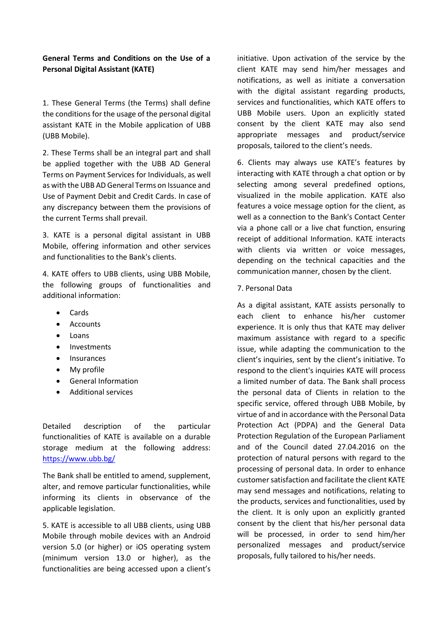## **General Terms and Conditions on the Use of a Personal Digital Assistant (KATE)**

1. These General Terms (the Terms) shall define the conditions for the usage of the personal digital assistant KATE in the Mobile application of UBB (UBB Mobile).

2. These Terms shall be an integral part and shall be applied together with the UBB AD General Terms on Payment Services for Individuals, as well as with the UBB AD General Terms on Issuance and Use of Payment Debit and Credit Cards. In case of any discrepancy between them the provisions of the current Terms shall prevail.

3. KATE is a personal digital assistant in UBB Mobile, offering information and other services and functionalities to the Bank's clients.

4. KATE offers to UBB clients, using UBB Mobile, the following groups of functionalities and additional information:

- Cards
- Accounts
- Loans
- Investments
- Insurances
- My profile
- General Information
- Additional services

Detailed description of the particular functionalities of KATE is available on a durable storage medium at the following address: <https://www.ubb.bg/>

The Bank shall be entitled to amend, supplement, alter, and remove particular functionalities, while informing its clients in observance of the applicable legislation.

5. KATE is accessible to all UBB clients, using UBB Mobile through mobile devices with an Android version 5.0 (or higher) or iOS operating system (minimum version 13.0 or higher), as the functionalities are being accessed upon a client's initiative. Upon activation of the service by the client KATE may send him/her messages and notifications, as well as initiate a conversation with the digital assistant regarding products, services and functionalities, which KATE offers to UBB Mobile users. Upon an explicitly stated consent by the client KATE may also send appropriate messages and product/service proposals, tailored to the client's needs.

6. Clients may always use KATE's features by interacting with KATE through a chat option or by selecting among several predefined options, visualized in the mobile application. KATE also features a voice message option for the client, as well as a connection to the Bank's Contact Center via a phone call or a live chat function, ensuring receipt of additional Information. KATE interacts with clients via written or voice messages, depending on the technical capacities and the communication manner, chosen by the client.

## 7. Personal Data

As a digital assistant, KATE assists personally to each client to enhance his/her customer experience. It is only thus that KATE may deliver maximum assistance with regard to a specific issue, while adapting the communication to the client's inquiries, sent by the client's initiative. To respond to the client's inquiries KATE will process a limited number of data. The Bank shall process the personal data of Clients in relation to the specific service, offered through UBB Mobile, by virtue of and in accordance with the Personal Data Protection Act (PDPA) and the General Data Protection Regulation of the European Parliament and of the Council dated 27.04.2016 on the protection of natural persons with regard to the processing of personal data. In order to enhance customer satisfaction and facilitate the client KATE may send messages and notifications, relating to the products, services and functionalities, used by the client. It is only upon an explicitly granted consent by the client that his/her personal data will be processed, in order to send him/her personalized messages and product/service proposals, fully tailored to his/her needs.